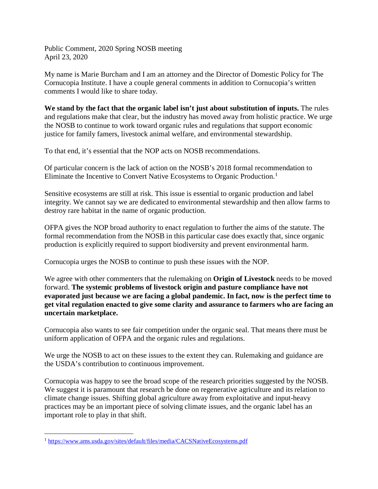Public Comment, 2020 Spring NOSB meeting April 23, 2020

My name is Marie Burcham and I am an attorney and the Director of Domestic Policy for The Cornucopia Institute. I have a couple general comments in addition to Cornucopia's written comments I would like to share today.

**We stand by the fact that the organic label isn't just about substitution of inputs.** The rules and regulations make that clear, but the industry has moved away from holistic practice. We urge the NOSB to continue to work toward organic rules and regulations that support economic justice for family famers, livestock animal welfare, and environmental stewardship.

To that end, it's essential that the NOP acts on NOSB recommendations.

Of particular concern is the lack of action on the NOSB's 2018 formal recommendation to Eliminate the Incentive to Convert Native Ecosystems to Organic Production.<sup>[1](#page-0-0)</sup>

Sensitive ecosystems are still at risk. This issue is essential to organic production and label integrity. We cannot say we are dedicated to environmental stewardship and then allow farms to destroy rare habitat in the name of organic production.

OFPA gives the NOP broad authority to enact regulation to further the aims of the statute. The formal recommendation from the NOSB in this particular case does exactly that, since organic production is explicitly required to support biodiversity and prevent environmental harm.

Cornucopia urges the NOSB to continue to push these issues with the NOP.

We agree with other commenters that the rulemaking on **Origin of Livestock** needs to be moved forward. **The systemic problems of livestock origin and pasture compliance have not evaporated just because we are facing a global pandemic. In fact, now is the perfect time to get vital regulation enacted to give some clarity and assurance to farmers who are facing an uncertain marketplace.** 

Cornucopia also wants to see fair competition under the organic seal. That means there must be uniform application of OFPA and the organic rules and regulations.

We urge the NOSB to act on these issues to the extent they can. Rulemaking and guidance are the USDA's contribution to continuous improvement.

Cornucopia was happy to see the broad scope of the research priorities suggested by the NOSB. We suggest it is paramount that research be done on regenerative agriculture and its relation to climate change issues. Shifting global agriculture away from exploitative and input-heavy practices may be an important piece of solving climate issues, and the organic label has an important role to play in that shift.

<span id="page-0-0"></span> <sup>1</sup> <https://www.ams.usda.gov/sites/default/files/media/CACSNativeEcosystems.pdf>